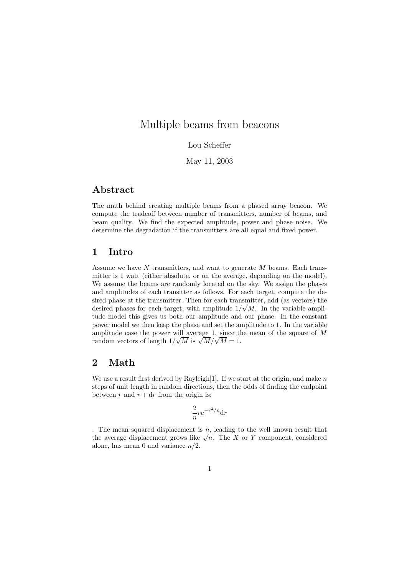# Multiple beams from beacons

Lou Scheffer

May 11, 2003

## Abstract

The math behind creating multiple beams from a phased array beacon. We compute the tradeoff between number of transmitters, number of beams, and beam quality. We find the expected amplitude, power and phase noise. We determine the degradation if the transmitters are all equal and fixed power.

### 1 Intro

Assume we have  $N$  transmitters, and want to generate  $M$  beams. Each transmitter is 1 watt (either absolute, or on the average, depending on the model). We assume the beams are randomly located on the sky. We assign the phases and amplitudes of each transitter as follows. For each target, compute the desired phase at the transmitter. Then for each transmitter, add (as vectors) the desired phases for each target, with amplitude  $1/\sqrt{M}$ . In the variable amplitude model this gives us both our amplitude and our phase. In the constant power model we then keep the phase and set the amplitude to 1. In the variable amplitude case the power will average  $1$ , since the mean of the square of  $M$ amplitude case the power will average 1, since the random vectors of length  $1/\sqrt{M}$  is  $\sqrt{M}/\sqrt{M} = 1$ .

## 2 Math

We use a result first derived by Rayleigh[1]. If we start at the origin, and make  $n$ steps of unit length in random directions, then the odds of finding the endpoint between r and  $r + dr$  from the origin is:

$$
\frac{2}{n}re^{-r^2/n}\mathrm{d}r
$$

. The mean squared displacement is  $n$ , leading to the well known result that The mean squared displacement is n, leading to the well known result that the average displacement grows like  $\sqrt{n}$ . The X or Y component, considered alone, has mean 0 and variance  $n/2$ .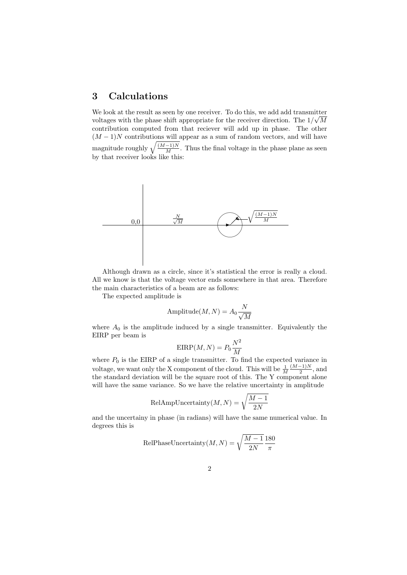## 3 Calculations

We look at the result as seen by one receiver. To do this, we add add transmitter voltages with the phase shift appropriate for the receiver direction. The  $1/\sqrt{M}$ contribution computed from that reciever will add up in phase. The other  $(M-1)N$  contributions will appear as a sum of random vectors, and will have magnitude roughly  $\sqrt{\frac{(M-1)N}{M}}$ . Thus the final voltage in the phase plane as seen by that receiver looks like this:



Although drawn as a circle, since it's statistical the error is really a cloud. All we know is that the voltage vector ends somewhere in that area. Therefore the main characteristics of a beam are as follows:

The expected amplitude is

Amplitude
$$
(M, N) = A_0 \frac{N}{\sqrt{M}}
$$

where  $A_0$  is the amplitude induced by a single transmitter. Equivalently the EIRP per beam is

$$
\text{EIRP}(M, N) = P_0 \frac{N^2}{M}
$$

where  $P_0$  is the EIRP of a single transmitter. To find the expected variance in voltage, we want only the X component of the cloud. This will be  $\frac{1}{M}$  $(M-1)N$  $\frac{-1}{2}$ , and the standard deviation will be the square root of this. The Y component alone will have the same variance. So we have the relative uncertainty in amplitude

$$
\text{RelAmpUncertainty}(M, N) = \sqrt{\frac{M-1}{2N}}
$$

and the uncertainy in phase (in radians) will have the same numerical value. In degrees this is

$$
\text{RelPhaseUncertainty}(M, N) = \sqrt{\frac{M-1}{2N}} \frac{180}{\pi}
$$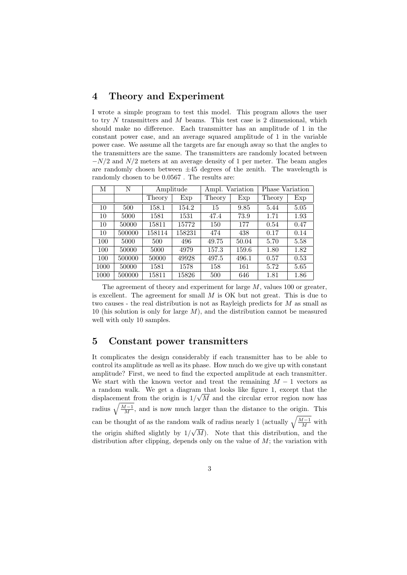### 4 Theory and Experiment

I wrote a simple program to test this model. This program allows the user to try  $N$  transmitters and  $M$  beams. This test case is 2 dimensional, which should make no difference. Each transmitter has an amplitude of 1 in the constant power case, and an average squared amplitude of 1 in the variable power case. We assume all the targets are far enough away so that the angles to the transmitters are the same. The transmitters are randomly located between  $-N/2$  and  $N/2$  meters at an average density of 1 per meter. The beam angles are randomly chosen between  $\pm 45$  degrees of the zenith. The wavelength is randomly chosen to be 0.0567 . The results are:

| М    | N      | Amplitude |        | Ampl. Variation    |       | Phase Variation |      |
|------|--------|-----------|--------|--------------------|-------|-----------------|------|
|      |        | Theory    | Exp    | Theory             | Exp   | Theory          | Exp  |
| 10   | 500    | 158.1     | 154.2  | 15                 | 9.85  | 5.44            | 5.05 |
| 10   | 5000   | 1581      | 1531   | 47.4               | 73.9  | 1.71            | 1.93 |
| 10   | 50000  | 15811     | 15772  | 150                | 177   | 0.54            | 0.47 |
| 10   | 500000 | 158114    | 158231 | 474                | 438   | 0.17            | 0.14 |
| 100  | 5000   | 500       | 496    | 49.75              | 50.04 | 5.70            | 5.58 |
| 100  | 50000  | 5000      | 4979   | 157.3              | 159.6 | 1.80            | 1.82 |
| 100  | 500000 | 50000     | 49928  | $\overline{4}97.5$ | 496.1 | 0.57            | 0.53 |
| 1000 | 50000  | 1581      | 1578   | 158                | 161   | 5.72            | 5.65 |
| 1000 | 500000 | 15811     | 15826  | 500                | 646   | 1.81            | 1.86 |

The agreement of theory and experiment for large  $M$ , values 100 or greater, is excellent. The agreement for small  $M$  is OK but not great. This is due to two causes - the real distribution is not as Rayleigh predicts for  $M$  as small as 10 (his solution is only for large  $M$ ), and the distribution cannot be measured well with only 10 samples.

#### 5 Constant power transmitters

It complicates the design considerably if each transmitter has to be able to control its amplitude as well as its phase. How much do we give up with constant amplitude? First, we need to find the expected amplitude at each transmitter. We start with the known vector and treat the remaining  $M - 1$  vectors as a random walk. We get a diagram that looks like figure 1, except that the displacement from the origin is  $1/\sqrt{M}$  and the circular error region now has radius  $\sqrt{\frac{M-1}{M}}$ , and is now much larger than the distance to the origin. This can be thought of as the random walk of radius nearly 1 (actually  $\sqrt{\frac{M-1}{M}}$  with the origin shifted slightly by  $1/\sqrt{M}$ ). Note that this distribution, and the distribution after clipping, depends only on the value of  $M$ ; the variation with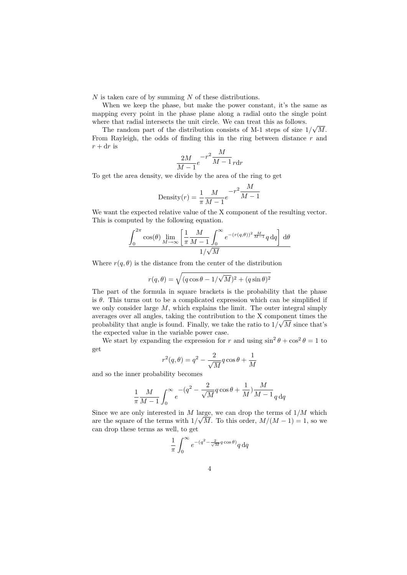$N$  is taken care of by summing  $N$  of these distributions.

When we keep the phase, but make the power constant, it's the same as mapping every point in the phase plane along a radial onto the single point where that radial intersects the unit circle. We can treat this as follows.

The random part of the distribution consists of M-1 steps of size  $1/\sqrt{M}$ . From Rayleigh, the odds of finding this in the ring between distance  $r$  and  $r + dr$  is

$$
\frac{2M}{M-1}e^{-r^2}\frac{M}{M-1}r\mathrm{d}r
$$

To get the area density, we divide by the area of the ring to get

Density
$$
(r) = \frac{1}{\pi} \frac{M}{M-1} e^{-r^2} \frac{M}{M-1}
$$

We want the expected relative value of the X component of the resulting vector. This is computed by the following equation.

$$
\frac{\int_0^{2\pi} \cos(\theta) \lim_{M \to \infty} \left[ \frac{1}{\pi} \frac{M}{M-1} \int_0^{\infty} e^{-(r(q,\theta))^2 \frac{M}{M-1}} q \,dq \right] d\theta}{1/\sqrt{M}}
$$

Where  $r(q, \theta)$  is the distance from the center of the distribution

$$
r(q, \theta) = \sqrt{(q \cos \theta - 1/\sqrt{M})^2 + (q \sin \theta)^2}
$$

The part of the formula in square brackets is the probability that the phase is  $\theta$ . This turns out to be a complicated expression which can be simplified if we only consider large  $M$ , which explains the limit. The outer integral simply averages over all angles, taking the contribution to the X component times the √ probability that angle is found. Finally, we take the ratio to  $1/\sqrt{M}$  since that's the expected value in the variable power case.

We start by expanding the expression for r and using  $\sin^2 \theta + \cos^2 \theta = 1$  to get

$$
r^2(q,\theta)=q^2-\frac{2}{\sqrt{M}}q\cos\theta+\frac{1}{M}
$$

and so the inner probability becomes

$$
\frac{1}{\pi} \frac{M}{M-1} \int_0^\infty e^{-(q^2 - \frac{2}{\sqrt{M}} q \cos \theta + \frac{1}{M})} \frac{M}{M-1} q \, dq
$$

Since we are only interested in  $M$  large, we can drop the terms of  $1/M$  which are the square of the terms with  $1/\sqrt{M}$ . To this order,  $M/(M-1) = 1$ , so we can drop these terms as well, to get

$$
\frac{1}{\pi}\int_0^\infty e^{-(q^2-\frac{2}{\sqrt{M}}q\cos\theta)}q\,\mathrm{d} q
$$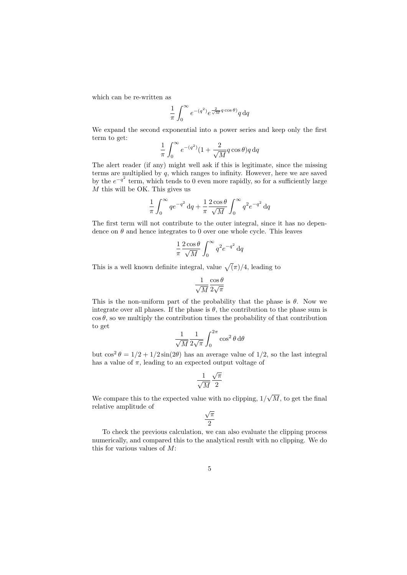which can be re-written as

$$
\frac{1}{\pi} \int_0^\infty e^{-(q^2)} e^{\frac{2}{\sqrt{M}} q \cos \theta} q \,\mathrm{d} q
$$

We expand the second exponential into a power series and keep only the first term to get:

$$
\frac{1}{\pi} \int_0^\infty e^{-(q^2)} (1 + \frac{2}{\sqrt{M}} q \cos \theta) q \,\mathrm{d}q
$$

The alert reader (if any) might well ask if this is legitimate, since the missing terms are multiplied by  $q$ , which ranges to infinity. However, here we are saved by the  $e^{-q^2}$  term, which tends to 0 even more rapidly, so for a sufficiently large  $\overline{M}$  this will be OK. This gives us

$$
\frac{1}{\pi} \int_0^\infty q e^{-q^2} dq + \frac{1}{\pi} \frac{2 \cos \theta}{\sqrt{M}} \int_0^\infty q^2 e^{-q^2} dq
$$

The first term will not contribute to the outer integral, since it has no dependence on  $\theta$  and hence integrates to 0 over one whole cycle. This leaves

$$
\frac{1}{\pi} \frac{2 \cos \theta}{\sqrt{M}} \int_0^\infty q^2 e^{-q^2} dq
$$

This is a well known definite integral, value  $\sqrt{(\pi)/4}$ , leading to

$$
\frac{1}{\sqrt{M}} \frac{\cos \theta}{2 \sqrt{\pi}}
$$

This is the non-uniform part of the probability that the phase is  $\theta$ . Now we integrate over all phases. If the phase is  $\theta$ , the contribution to the phase sum is  $\cos \theta$ , so we multiply the contribution times the probability of that contribution to get

$$
\frac{1}{\sqrt{M}} \frac{1}{2\sqrt{\pi}} \int_0^{2\pi} \cos^2 \theta \, d\theta
$$

but  $\cos^2 \theta = 1/2 + 1/2 \sin(2\theta)$  has an average value of  $1/2$ , so the last integral has a value of  $\pi$ , leading to an expected output voltage of

$$
\frac{1}{\sqrt{M}}\frac{\sqrt{\pi}}{2}
$$

We compare this to the expected value with no clipping, 1/  $M$ , to get the final relative amplitude of

$$
\frac{\sqrt{\pi}}{2}
$$

To check the previous calculation, we can also evaluate the clipping process numerically, and compared this to the analytical result with no clipping. We do this for various values of  $M$ :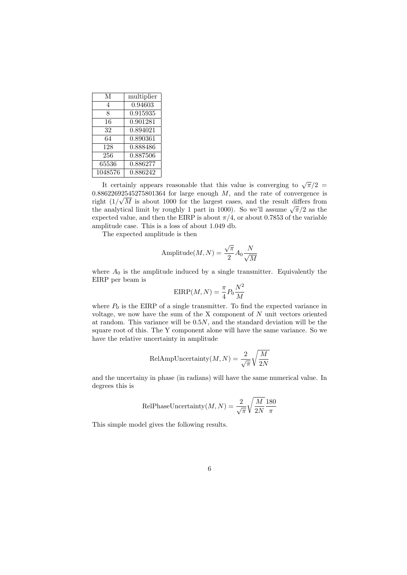| М       | multiplier           |
|---------|----------------------|
| 4       | $\overline{0.94603}$ |
| 8       | 0.915935             |
| 16      | 0.901281             |
| 32      | 0.894021             |
| 64      | 0.890361             |
| 128     | 0.888486             |
| 256     | 0.887506             |
| 65536   | 0.886277             |
| 1048576 | 0.886242             |

It certainly appears reasonable that this value is converging to  $\sqrt{\pi}/2$  $0.88622692545275801364$  for large enough  $M$ , and the rate of convergence is right  $(1/\sqrt{M})$  is about 1000 for the largest cases, and the result differs from right  $(1/\sqrt{M})$  is about 1000 for the largest cases, and the result differs from<br>the analytical limit by roughly 1 part in 1000). So we'll assume  $\sqrt{\pi}/2$  as the expected value, and then the EIRP is about  $\pi/4$ , or about 0.7853 of the variable amplitude case. This is a loss of about 1.049 db.

The expected amplitude is then

Amplitude
$$
(M, N) = \frac{\sqrt{\pi}}{2} A_0 \frac{N}{\sqrt{M}}
$$

where  $A_0$  is the amplitude induced by a single transmitter. Equivalently the EIRP per beam is

$$
EIRP(M, N) = \frac{\pi}{4} P_0 \frac{N^2}{M}
$$

where  $P_0$  is the EIRP of a single transmitter. To find the expected variance in voltage, we now have the sum of the X component of  $N$  unit vectors oriented at random. This variance will be 0.5N, and the standard deviation will be the square root of this. The Y component alone will have the same variance. So we have the relative uncertainty in amplitude

$$
\text{RelAmpUncertainty}(M, N) = \frac{2}{\sqrt{\pi}} \sqrt{\frac{M}{2N}}
$$

and the uncertainy in phase (in radians) will have the same numerical value. In degrees this is

$$
\text{RelPhaseUncertainty}(M, N) = \frac{2}{\sqrt{\pi}} \sqrt{\frac{M}{2N}} \frac{180}{\pi}
$$

This simple model gives the following results.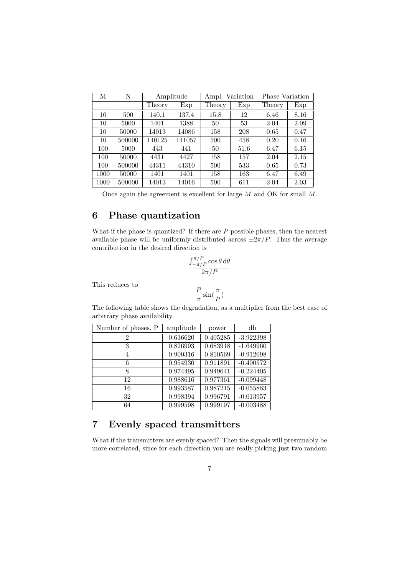| М    | Ν      | Amplitude |        | Ampl. Variation |      | Phase Variation |      |
|------|--------|-----------|--------|-----------------|------|-----------------|------|
|      |        | Theory    | Exp    | Theory          | Exp  | Theory          | Exp  |
| 10   | 500    | 140.1     | 137.4  | 15.8            | 12   | 6.46            | 8.16 |
| 10   | 5000   | 1401      | 1388   | 50              | 53   | 2.04            | 2.09 |
| 10   | 50000  | 14013     | 14086  | 158             | 208  | 0.65            | 0.47 |
| 10   | 500000 | 140125    | 141057 | 500             | 458  | 0.20            | 0.16 |
| 100  | 5000   | 443       | 441    | 50              | 51.6 | 6.47            | 6.15 |
| 100  | 50000  | 4431      | 4427   | 158             | 157  | 2.04            | 2.15 |
| 100  | 500000 | 44311     | 44310  | 500             | 533  | 0.65            | 0.73 |
| 1000 | 50000  | 1401      | 1401   | 158             | 163  | 6.47            | 6.49 |
| 1000 | 500000 | 14013     | 14016  | 500             | 611  | 2.04            | 2.03 |

Once again the agreement is excellent for large  $M$  and OK for small  $M$ .

# 6 Phase quantization

What if the phase is quantized? If there are  $P$  possible phases, then the nearest available phase will be uniformly distributed across  $\pm 2\pi/P$ . Thus the average contribution in the desired direction is

$$
\frac{\int_{-\pi/P}^{\pi/P} \cos \theta \, \mathrm{d}\theta}{2\pi/P}
$$

This reduces to

$$
\frac{P}{\pi}\sin(\frac{\pi}{P})
$$

The following table shows the degradation, as a multiplier from the best case of arbitrary phase availability.

| Number of phases, P | amplitude | power    | db          |
|---------------------|-----------|----------|-------------|
| $\mathfrak{D}$      | 0.636620  | 0.405285 | $-3.922398$ |
| 3                   | 0.826993  | 0.683918 | $-1.649960$ |
| 4                   | 0.900316  | 0.810569 | $-0.912098$ |
| 6                   | 0.954930  | 0.911891 | $-0.400572$ |
| 8                   | 0.974495  | 0.949641 | $-0.224405$ |
| 12                  | 0.988616  | 0.977361 | $-0.099448$ |
| 16                  | 0.993587  | 0.987215 | $-0.055883$ |
| 32                  | 0.998394  | 0.996791 | $-0.013957$ |
| 64                  | 0.999598  | 0.999197 | $-0.003488$ |

# 7 Evenly spaced transmitters

What if the transmitters are evenly spaced? Then the signals will presumably be more correlated, since for each direction you are really picking just two random